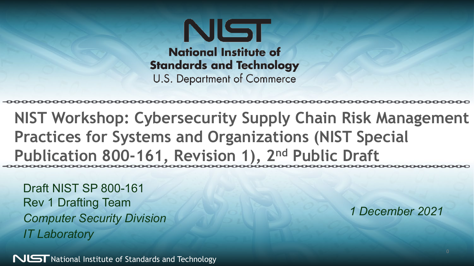NIST **National Institute of Standards and Technology U.S. Department of Commerce** 

**NIST Workshop: Cybersecurity Supply Chain Risk Management Practices for Systems and Organizations (NIST Special Publication 800-161, Revision 1), 2nd Public Draft**

Draft NIST SP 800-161 Rev 1 Drafting Team *Computer Security Division IT Laboratory*

 $N$ L $\Box$ T National Institute of Standards and Technology

*1 December 2021*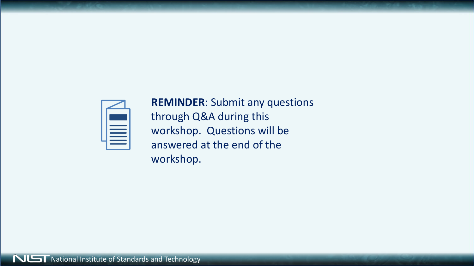

**REMINDER**: Submit any questions through Q&A during this workshop. Questions will be answered at the end of the workshop.

**NUST** National Institute of Standards and Technology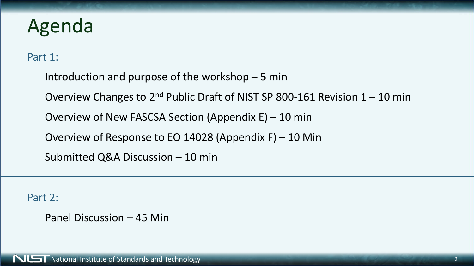## Agenda

Part 1:

Introduction and purpose of the workshop – 5 min Overview Changes to  $2^{nd}$  Public Draft of NIST SP 800-161 Revision  $1 - 10$  min Overview of New FASCSA Section (Appendix E) – 10 min Overview of Response to EO 14028 (Appendix F) – 10 Min Submitted Q&A Discussion – 10 min

Part 2:

Panel Discussion – 45 Min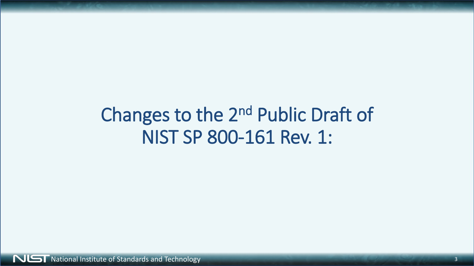## Changes to the 2nd Public Draft of NIST SP 800-161 Rev. 1: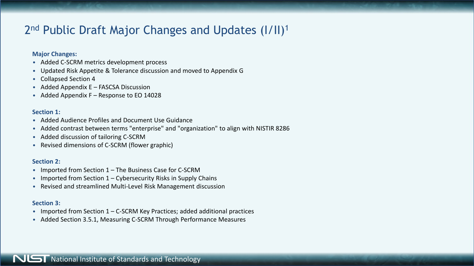## 2<sup>nd</sup> Public Draft Major Changes and Updates (I/II)<sup>1</sup>

#### **Major Changes:**

- Added C-SCRM metrics development process
- Updated Risk Appetite & Tolerance discussion and moved to Appendix G
- Collapsed Section 4
- Added Appendix E FASCSA Discussion
- Added Appendix F Response to EO 14028

### **Section 1:**

- Added Audience Profiles and Document Use Guidance
- Added contrast between terms "enterprise" and "organization" to align with NISTIR 8286
- Added discussion of tailoring C-SCRM
- Revised dimensions of C-SCRM (flower graphic)

### **Section 2:**

- Imported from Section 1 The Business Case for C-SCRM
- Imported from Section  $1 -$  Cybersecurity Risks in Supply Chains
- Revised and streamlined Multi-Level Risk Management discussion

### **Section 3:**

- Imported from Section 1 C-SCRM Key Practices; added additional practices
- Added Section 3.5.1, Measuring C-SCRM Through Performance Measures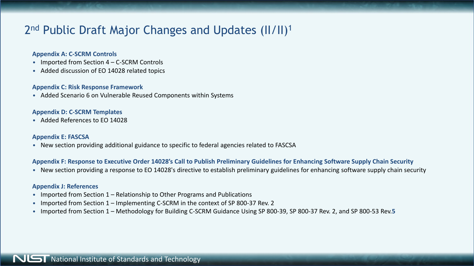## 2<sup>nd</sup> Public Draft Major Changes and Updates (II/II)<sup>1</sup>

#### **Appendix A: C-SCRM Controls**

- Imported from Section 4 C-SCRM Controls
- Added discussion of EO 14028 related topics

#### **Appendix C: Risk Response Framework**

• Added Scenario 6 on Vulnerable Reused Components within Systems

#### **Appendix D: C-SCRM Templates**

• Added References to EO 14028

#### **Appendix E: FASCSA**

• New section providing additional guidance to specific to federal agencies related to FASCSA

### **Appendix F: Response to Executive Order 14028's Call to Publish Preliminary Guidelines for Enhancing Software Supply Chain Security**

• New section providing a response to EO 14028's directive to establish preliminary guidelines for enhancing software supply chain security

#### **Appendix J: References**

- Imported from Section 1 Relationship to Other Programs and Publications
- Imported from Section 1 Implementing C-SCRM in the context of SP 800-37 Rev. 2
- Imported from Section 1 Methodology for Building C-SCRM Guidance Using SP 800-39, SP 800-37 Rev. 2, and SP 800-53 Rev.**5**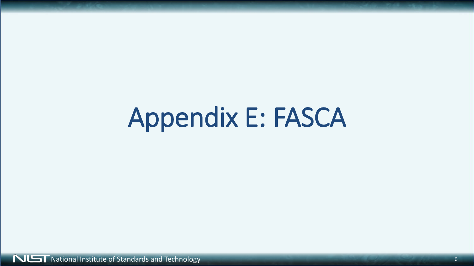# Appendix E: FASCA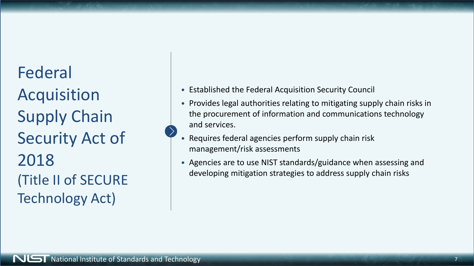Federal Acquisition Supply Chain Security Act of 2018 (Title II of SECURE Technology Act)

- Established the Federal Acquisition Security Council
- Provides legal authorities relating to mitigating supply chain risks in the procurement of information and communications technology and services.
- Requires federal agencies perform supply chain risk management/risk assessments
- Agencies are to use NIST standards/guidance when assessing and developing mitigation strategies to address supply chain risks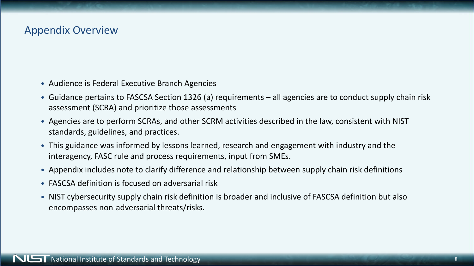## Appendix Overview

- Audience is Federal Executive Branch Agencies
- Guidance pertains to FASCSA Section 1326 (a) requirements all agencies are to conduct supply chain risk assessment (SCRA) and prioritize those assessments
- Agencies are to perform SCRAs, and other SCRM activities described in the law, consistent with NIST standards, guidelines, and practices.
- This guidance was informed by lessons learned, research and engagement with industry and the interagency, FASC rule and process requirements, input from SMEs.
- Appendix includes note to clarify difference and relationship between supply chain risk definitions
- FASCSA definition is focused on adversarial risk
- NIST cybersecurity supply chain risk definition is broader and inclusive of FASCSA definition but also encompasses non-adversarial threats/risks.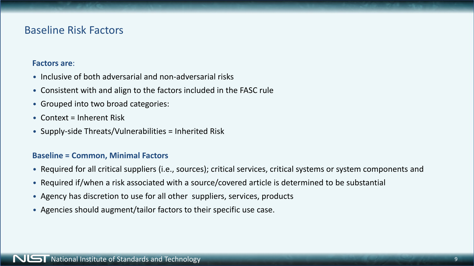## Baseline Risk Factors

### **Factors are**:

- Inclusive of both adversarial and non-adversarial risks
- Consistent with and align to the factors included in the FASC rule
- Grouped into two broad categories:
- Context = Inherent Risk
- Supply-side Threats/Vulnerabilities = Inherited Risk

### **Baseline = Common, Minimal Factors**

- Required for all critical suppliers (i.e., sources); critical services, critical systems or system components and
- Required if/when a risk associated with a source/covered article is determined to be substantial
- Agency has discretion to use for all other suppliers, services, products
- Agencies should augment/tailor factors to their specific use case.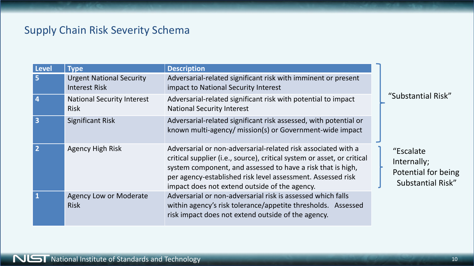## Supply Chain Risk Severity Schema

| Level          | <b>Type</b>                                      | <b>Description</b>                                                                                                                                                                                                                                                                                                      |                          |
|----------------|--------------------------------------------------|-------------------------------------------------------------------------------------------------------------------------------------------------------------------------------------------------------------------------------------------------------------------------------------------------------------------------|--------------------------|
| 5              | <b>Urgent National Security</b><br>Interest Risk | Adversarial-related significant risk with imminent or present<br>impact to National Security Interest                                                                                                                                                                                                                   |                          |
| $\overline{4}$ | <b>National Security Interest</b><br><b>Risk</b> | Adversarial-related significant risk with potential to impact<br><b>National Security Interest</b>                                                                                                                                                                                                                      | "Sub                     |
| $\overline{3}$ | <b>Significant Risk</b>                          | Adversarial-related significant risk assessed, with potential or<br>known multi-agency/ mission(s) or Government-wide impact                                                                                                                                                                                            |                          |
| $\overline{2}$ | <b>Agency High Risk</b>                          | Adversarial or non-adversarial-related risk associated with a<br>critical supplier (i.e., source), critical system or asset, or critical<br>system component, and assessed to have a risk that is high,<br>per agency-established risk level assessment. Assessed risk<br>impact does not extend outside of the agency. | "Es<br>Inte<br>Pot<br>SL |
| $\vert$ 1      | <b>Agency Low or Moderate</b><br><b>Risk</b>     | Adversarial or non-adversarial risk is assessed which falls<br>within agency's risk tolerance/appetite thresholds. Assessed<br>risk impact does not extend outside of the agency.                                                                                                                                       |                          |

ostantial Risk"

scalate ernally; tential for being abstantial Risk"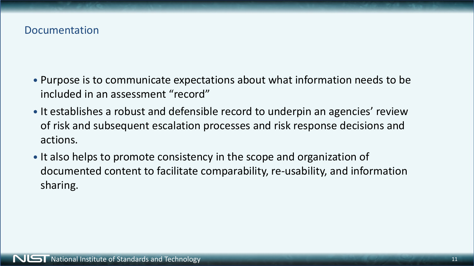## Documentation

- Purpose is to communicate expectations about what information needs to be included in an assessment "record"
- It establishes a robust and defensible record to underpin an agencies' review of risk and subsequent escalation processes and risk response decisions and actions.
- It also helps to promote consistency in the scope and organization of documented content to facilitate comparability, re-usability, and information sharing.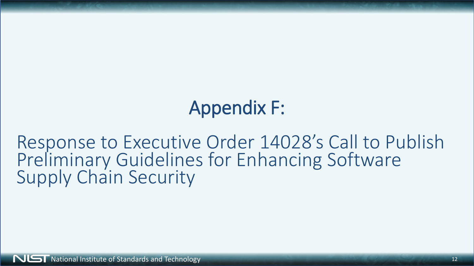# Appendix F:

Response to Executive Order 14028's Call to Publish Preliminary Guidelines for Enhancing Software Supply Chain Security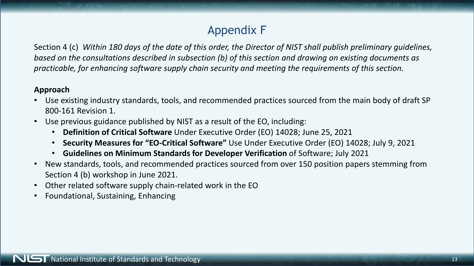## Appendix F

Section 4 (c) *Within 180 days of the date of this order, the Director of NIST shall publish preliminary guidelines, based on the consultations described in subsection (b) of this section and drawing on existing documents as practicable, for enhancing software supply chain security and meeting the requirements of this section.*

## **Approach**

- Use existing industry standards, tools, and recommended practices sourced from the main body of draft SP 800-161 Revision 1.
- Use previous guidance published by NIST as a result of the EO, including:
	- **Definition of Critical Software** Under Executive Order (EO) 14028; June 25, 2021
	- **Security Measures for "EO-Critical Software"** Use Under Executive Order (EO) 14028; July 9, 2021
	- **Guidelines on Minimum Standards for Developer Verification** of Software; July 2021
- New standards, tools, and recommended practices sourced from over 150 position papers stemming from Section 4 (b) workshop in June 2021.
- Other related software supply chain-related work in the EO
- Foundational, Sustaining, Enhancing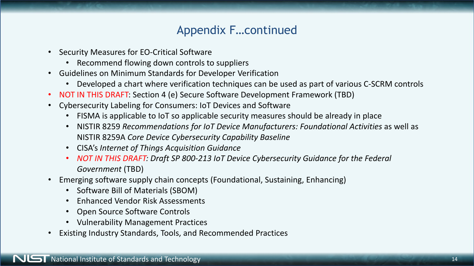## Appendix F…continued

- Security Measures for EO-Critical Software
	- Recommend flowing down controls to suppliers
- Guidelines on Minimum Standards for Developer Verification
	- Developed a chart where verification techniques can be used as part of various C-SCRM controls
- NOT IN THIS DRAFT: Section 4 (e) Secure Software Development Framework (TBD)
- Cybersecurity Labeling for Consumers: IoT Devices and Software
	- FISMA is applicable to IoT so applicable security measures should be already in place
	- NISTIR 8259 *Recommendations for IoT Device Manufacturers: Foundational Activities* as well as NISTIR 8259A *Core Device Cybersecurity Capability Baseline*
	- CISA's *Internet of Things Acquisition Guidance*
	- *NOT IN THIS DRAFT: Draft SP 800-213 IoT Device Cybersecurity Guidance for the Federal Government* (TBD)
- Emerging software supply chain concepts (Foundational, Sustaining, Enhancing)
	- Software Bill of Materials (SBOM)
	- Enhanced Vendor Risk Assessments
	- Open Source Software Controls
	- Vulnerability Management Practices
- Existing Industry Standards, Tools, and Recommended Practices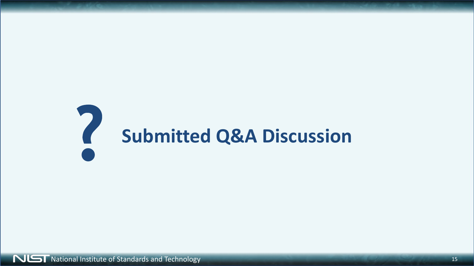# **Submitted Q&A Discussion**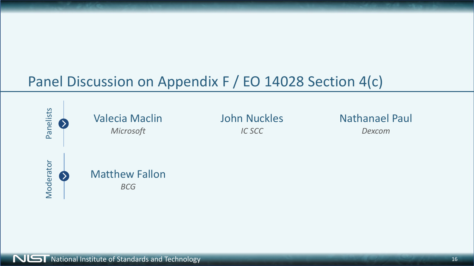## Panel Discussion on Appendix F / EO 14028 Section 4(c)